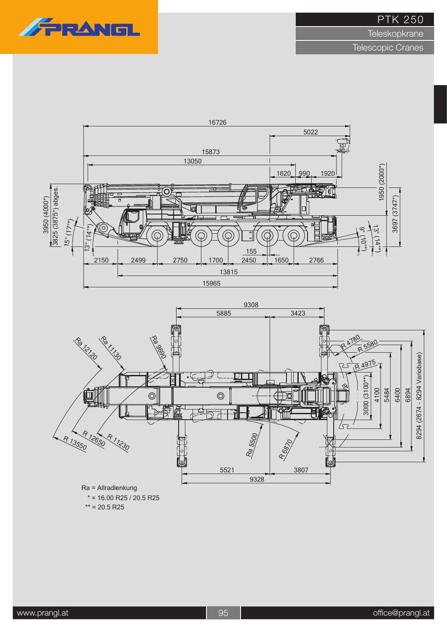

**Teleskopkrane** 

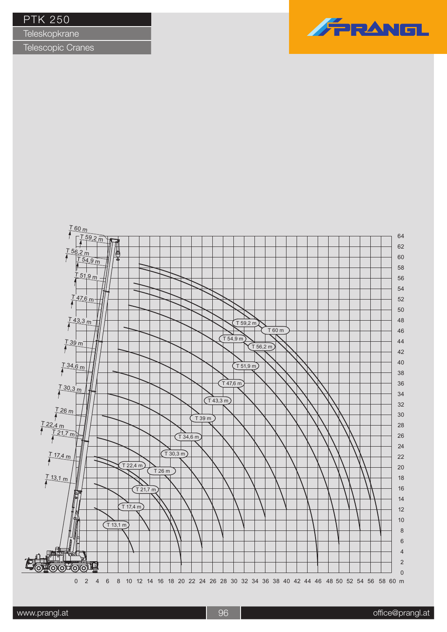| <b>PTK 250</b> |  |  |  |
|----------------|--|--|--|
|----------------|--|--|--|

**Teleskopkrane** 



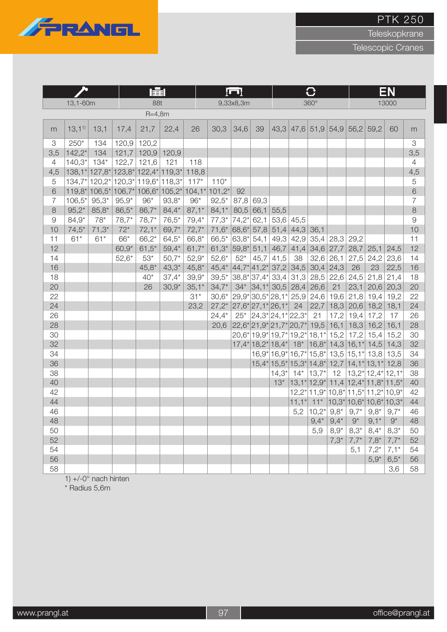**Teleskopkrane** 

Telescopic Cranes



|                |          |                                                                                                              |             | <b>FEE</b>    |               |           |          | <u>[U]</u> |                          |         |                                                                                           |             |             | EΝ           |                                                                                                                              |             |                |
|----------------|----------|--------------------------------------------------------------------------------------------------------------|-------------|---------------|---------------|-----------|----------|------------|--------------------------|---------|-------------------------------------------------------------------------------------------|-------------|-------------|--------------|------------------------------------------------------------------------------------------------------------------------------|-------------|----------------|
|                | 13,1-60m |                                                                                                              |             | 88t           |               |           |          | 9,33x8,3m  |                          |         |                                                                                           | $360^\circ$ |             |              |                                                                                                                              | 13000       |                |
|                |          |                                                                                                              |             | $R = 4,8m$    |               |           |          |            |                          |         |                                                                                           |             |             |              |                                                                                                                              |             |                |
| m              | 13,11    | 13,1                                                                                                         | 17,4        | 21,7          | 22,4          | 26        | 30,3     | 34,6       | 39                       |         | $43,3$ 47,6 51,9 54,9                                                                     |             |             | 56,2         | 59,2                                                                                                                         | 60          | m              |
| 3              | $250*$   | 134                                                                                                          | 120,9       | 120,2         |               |           |          |            |                          |         |                                                                                           |             |             |              |                                                                                                                              |             | 3              |
| 3,5            | $142,2*$ | 134                                                                                                          | 121,7       |               | $120,9$ 120,9 |           |          |            |                          |         |                                                                                           |             |             |              |                                                                                                                              |             | 3,5            |
| $\overline{4}$ | $140,3*$ | $134*$                                                                                                       | 122,7       | 121,6         | 121           | 118       |          |            |                          |         |                                                                                           |             |             |              |                                                                                                                              |             | $\overline{4}$ |
| 4,5            |          | $138,1^*$ 127,8*                                                                                             | $ 123,8^* $ | 122,4* 119,3* |               | 118,8     |          |            |                          |         |                                                                                           |             |             |              |                                                                                                                              |             | 4,5            |
| 5              |          | 134,7* 120,2* 120,3* 119,6*                                                                                  |             |               | 118,3*        | $117*$    | $110*$   |            |                          |         |                                                                                           |             |             |              |                                                                                                                              |             | $\mathbf 5$    |
| 6              |          | $119,8$ <sup>*</sup> $ 106,5$ <sup>*</sup> $ 106,7$ <sup>*</sup> $ 106,6$ <sup>*</sup> $ 105,2$ <sup>*</sup> |             |               |               | $ 104,1*$ | $101,2*$ | 92         |                          |         |                                                                                           |             |             |              |                                                                                                                              |             | 6              |
| $\overline{7}$ | $106,5*$ | $95,3*$                                                                                                      | $95,9*$     | $96*$         | $93,8*$       | $96*$     | $92,5*$  | 87,8       | 69,3                     |         |                                                                                           |             |             |              |                                                                                                                              |             | $\overline{7}$ |
| 8              | $95,2*$  | $85,8*$                                                                                                      | $86,5*$     | $86,7*$       | $84,4*$       | $87,1*$   | $84,1*$  | 80,5       | 66,1                     | 55,5    |                                                                                           |             |             |              |                                                                                                                              |             | $\,8\,$        |
| $\Theta$       | $84,9*$  | 78*                                                                                                          | $78,7*$     | $78,7*$       | $76,5*$       | $79,4*$   | $77,3*$  | $74,2*$    | 62,1                     |         | $53,6$ 45,5                                                                               |             |             |              |                                                                                                                              |             | $\mathcal{G}$  |
| 10             | $74,5*$  | $71,3*$                                                                                                      | $72*$       | $72,1*$       | 69,7*         | $72,7*$   | $71,6*$  | 68,6*      | 57,8                     |         | $51,4$ 44,3                                                                               | 36,1        |             |              |                                                                                                                              |             | 10             |
| 11             | $61*$    | $61*$                                                                                                        | 66*         | $66,2*$       | $64,5*$       | 66,8*     | $66,5*$  | 63,8*      | 54,1                     | 49,3    | 42,9                                                                                      | 35,4        | 28,3        | 29,2         |                                                                                                                              |             | 11             |
| 12             |          |                                                                                                              | $60,9*$     | $61,5*$       | $59,4*$       | $61,7*$   | $61,3*$  | 59,8*      | 51,1                     |         | $46,7$ 41,4                                                                               |             | $34,6$ 27,7 | 28,7         | 25,1                                                                                                                         | 24,5        | 12             |
| 14             |          |                                                                                                              | $52,6*$     | $53*$         | $50,7*$       | $52,9*$   | $52,6*$  | $52*$      | 45,7                     | 41,5    | 38                                                                                        | 32,6        | 26,1        | 27,5         | 24,2                                                                                                                         | 23,6        | 14             |
| 16             |          |                                                                                                              |             | $45,8*$       | $43,3*$       | $45,8*$   | $45,4*$  |            | $ 44,7^* 41,2^* $        |         | $37,2$ 34,5                                                                               | 30,4        | 24,3        | 26           | 23                                                                                                                           | 22,5        | 16             |
| 18             |          |                                                                                                              |             | $40*$         | $37,4*$       | $39,9*$   | $39,5*$  |            | $38,8^*$ 37,4*           | 33,4    |                                                                                           | $31,3$ 28,5 | 22,6        | 24,5         | 21,8                                                                                                                         | 21,4        | 18             |
| 20             |          |                                                                                                              |             | 26            | $30,9*$       | $35,1*$   | $34,7*$  |            | $34*$ 34,1* 30,5         |         | 28,4                                                                                      | 26,6        | 21          | 23,1         | 20,6                                                                                                                         | 20,3        | 20             |
| 22             |          |                                                                                                              |             |               |               | $31*$     | $30,6*$  |            | 29,9* 30,5* 28,1*        |         | 25,9                                                                                      | 24,6        | 19,6        | 21,8         | 19,4                                                                                                                         | 19,2        | 22             |
| 24             |          |                                                                                                              |             |               |               | 23,2      | $27,2*$  |            | $ 27,6^* 27,1^* 26,1^* $ |         | 24                                                                                        | 22,7        | 18,3        | 20,6         | 18,2                                                                                                                         | 18,1        | 24             |
| 26             |          |                                                                                                              |             |               |               |           | $24,4*$  | $25*$      | $ 24,3^* 24,1^* 22,3^*$  |         |                                                                                           | 21          | 17,2        | 19,4         | 17,2                                                                                                                         | 17          | 26             |
| 28             |          |                                                                                                              |             |               |               |           | 20,6     |            |                          |         | 22,6* 21,9* 21,7* 20,7* 19,5                                                              |             | 16,1        | 18,3         | 16,2                                                                                                                         | 16,1        | 28             |
| 30             |          |                                                                                                              |             |               |               |           |          |            |                          |         | 20,6* 19,9* 19,7* 19,2* 18,1*                                                             |             | 15,2        | 17,2         | 15,4                                                                                                                         | 15,2        | 30             |
| 32             |          |                                                                                                              |             |               |               |           |          |            |                          |         | $17,4$ <sup>*</sup> 18,2 <sup>*</sup> 18,4 <sup>*</sup> 18 <sup>*</sup> 16,8 <sup>*</sup> |             |             |              | $14,3$ 16,1 <sup>*</sup> 14,5                                                                                                | 14,3        | 32             |
| 34             |          |                                                                                                              |             |               |               |           |          |            |                          |         | $16,9$ <sup>*</sup> $16,9$ <sup>*</sup> $16,7$ <sup>*</sup> $15,8$ <sup>*</sup>           |             |             | $13,5 15,1*$ | 13,8                                                                                                                         | 13,5        | 34             |
| 36             |          |                                                                                                              |             |               |               |           |          |            |                          |         | $15,4$ <sup>*</sup> $15,5$ <sup>*</sup> $15,3$ <sup>*</sup> $14,8$ <sup>*</sup>           |             |             |              | $12,7$ 14,1 <sup>*</sup> 13,1 <sup>*</sup>                                                                                   | 12,8        | 36             |
| 38             |          |                                                                                                              |             |               |               |           |          |            |                          | $14,3*$ | $14*$                                                                                     | $ 13,7*$    | 12          |              | $13,2^*$ 12,4 $*$ 12,1 $*$                                                                                                   |             | 38             |
| 40             |          |                                                                                                              |             |               |               |           |          |            |                          | $13*$   | $13,1^*$ 12,9 <sup>*</sup>                                                                |             |             |              | $11,4$   $12,4$ <sup>*</sup>   $11,8$ <sup>*</sup>   $11,5$ <sup>*</sup>                                                     |             | 40             |
| 42             |          |                                                                                                              |             |               |               |           |          |            |                          |         |                                                                                           |             |             |              | $12,2$ <sup>*</sup> $ 11,9$ <sup>*</sup> $ 10,8$ <sup>*</sup> $ 11,5$ <sup>*</sup> $ 11,2$ <sup>*</sup> $ 10,9$ <sup>*</sup> |             | 42             |
| 44             |          |                                                                                                              |             |               |               |           |          |            |                          |         | $11,1*$                                                                                   | $11*$       |             |              | $ 10,3^* 10,6^* 10,6^* 10,3^*$                                                                                               |             | 44             |
| 46             |          |                                                                                                              |             |               |               |           |          |            |                          |         | 5,2                                                                                       | $10,2^*$    | $9,8*$      | $9,7*$       | $9,8*$                                                                                                                       | $9,7*$      | 46             |
| 48             |          |                                                                                                              |             |               |               |           |          |            |                          |         |                                                                                           | $9,4*$      | $9,4*$      | $9^*$        | $9,1*$                                                                                                                       | $9^{\star}$ | 48             |
| 50             |          |                                                                                                              |             |               |               |           |          |            |                          |         |                                                                                           | 5,9         | $8,9*$      | $8,3*$       | $8,4*$                                                                                                                       | $8,3*$      | 50             |
| 52             |          |                                                                                                              |             |               |               |           |          |            |                          |         |                                                                                           |             | $7,3*$      | $7,7*$       | $7,8*$                                                                                                                       | $7,7*$      | 52             |
| 54             |          |                                                                                                              |             |               |               |           |          |            |                          |         |                                                                                           |             |             | 5,1          | $7,2*$                                                                                                                       | $7,1*$      | 54             |
| 56             |          |                                                                                                              |             |               |               |           |          |            |                          |         |                                                                                           |             |             |              | $5,9*$                                                                                                                       | $6,5*$      | 56             |
| 58             |          |                                                                                                              |             |               |               |           |          |            |                          |         |                                                                                           |             |             |              |                                                                                                                              | 3,6         | 58             |

 $1) +/-0°$  nach hinten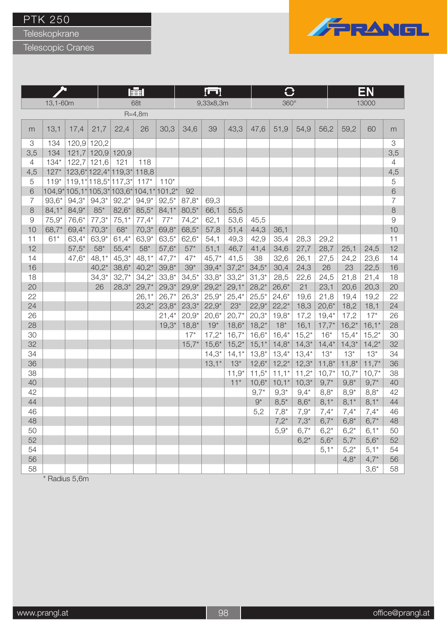Teleskopkrane

Telescopic Cranes



|                           |          |         |                   |                      | 睡          |          |         | luul      |         |          | C        |         |         | EΝ<br>13000 |         |                |
|---------------------------|----------|---------|-------------------|----------------------|------------|----------|---------|-----------|---------|----------|----------|---------|---------|-------------|---------|----------------|
|                           | 13,1-60m |         |                   |                      | 68t        |          |         | 9,33x8,3m |         |          | 360°     |         |         |             |         |                |
|                           |          |         |                   |                      | $R = 4,8m$ |          |         |           |         |          |          |         |         |             |         |                |
| m                         | 13,1     | 17,4    | 21,7              | 22,4                 | 26         | 30,3     | 34,6    | 39        | 43,3    | 47,6     | 51,9     | 54,9    | 56,2    | 59,2        | 60      | m              |
| $\ensuremath{\mathsf{3}}$ | 134      | 120,9   | 120,2             |                      |            |          |         |           |         |          |          |         |         |             |         | 3              |
| 3,5                       | 134      |         | 121,7 120,9 120,9 |                      |            |          |         |           |         |          |          |         |         |             |         | 3,5            |
| $\overline{4}$            | $134*$   | 122,7   | 121,6             | 121                  | 118        |          |         |           |         |          |          |         |         |             |         | $\overline{4}$ |
| 4,5                       | $127*$   |         |                   | 123,6* 122,4* 119,3* | 118,8      |          |         |           |         |          |          |         |         |             |         | 4,5            |
| 5                         | $119*$   |         |                   | 119,1* 118,5* 117,3* | $117*$     | $110*$   |         |           |         |          |          |         |         |             |         | 5              |
| 6                         | $104.9*$ |         |                   | $105,1*105,3*103,6*$ | $104,1*$   | $101,2*$ | 92      |           |         |          |          |         |         |             |         | 6              |
| $\overline{7}$            | $93,6*$  | $94.3*$ | $94,3*$           | $92,2*$              | $94,9*$    | $92,5*$  | $87,8*$ | 69,3      |         |          |          |         |         |             |         | $\overline{7}$ |
| $\,8\,$                   | $84,1*$  | $84,9*$ | $85*$             | $82,6*$              | $85,5*$    | $84,1*$  | $80,5*$ | 66,1      | 55,5    |          |          |         |         |             |         | $\,8\,$        |
| $\mathcal{G}% _{0}$       | $75,9*$  | 76,6*   | $77,3*$           | $75,1*$              | $77,4*$    | $77*$    | $74,2*$ | 62,1      | 53,6    | 45,5     |          |         |         |             |         | $\mathcal{G}$  |
| 10                        | $68,7*$  | 69,4*   | $70,3*$           | $68*$                | $70,3*$    | $69,8*$  | $68,5*$ | 57,8      | 51,4    | 44,3     | 36,1     |         |         |             |         | 10             |
| 11                        | $61*$    | 63,4*   | 63,9*             | $61,4*$              | $63,9*$    | $63,5*$  | $62,6*$ | 54,1      | 49,3    | 42,9     | 35,4     | 28,3    | 29,2    |             |         | 11             |
| 12                        |          | $57,5*$ | $58*$             | $55,4*$              | $58*$      | $57,6*$  | $57*$   | 51,1      | 46,7    | 41,4     | 34,6     | 27,7    | 28,7    | 25,1        | 24,5    | 12             |
| 14                        |          | $47,6*$ | $48,1*$           | $45,3*$              | $48,1*$    | $47,7*$  | $47*$   | $45,7*$   | 41,5    | 38       | 32,6     | 26,1    | 27,5    | 24,2        | 23,6    | 14             |
| 16                        |          |         | $40,2*$           | $38,6*$              | $40,2*$    | $39,8*$  | $39*$   | $39,4*$   | $37,2*$ | $34,5*$  | 30,4     | 24,3    | 26      | 23          | 22,5    | 16             |
| 18                        |          |         | $34,3*$           | $32,7*$              | $34,2*$    | $33,8*$  | $34,5*$ | $33,8*$   | $33,2*$ | $31,3*$  | 28,5     | 22,6    | 24,5    | 21,8        | 21,4    | 18             |
| 20                        |          |         | 26                | $28,3*$              | $29,7*$    | $29,3*$  | $29,9*$ | $29,2*$   | $29,1*$ | $28,2*$  | $26,6*$  | 21      | 23,1    | 20,6        | 20,3    | 20             |
| 22                        |          |         |                   |                      | $26,1*$    | $26,7*$  | $26,3*$ | $25,9*$   | $25,4*$ | $25,5*$  | $24,6*$  | 19,6    | 21,8    | 19,4        | 19,2    | 22             |
| 24                        |          |         |                   |                      | $23,2^*$   | $23,8*$  | $23,3*$ | $22,9*$   | $23*$   | $22,9*$  | $22,2*$  | 18,3    | $20,6*$ | 18,2        | 18,1    | 24             |
| 26                        |          |         |                   |                      |            | $21,4*$  | $20,9*$ | $20,6*$   | $20,7*$ | $20,3*$  | $19,8*$  | 17,2    | $19,4*$ | 17,2        | $17*$   | 26             |
| 28                        |          |         |                   |                      |            | $19,3*$  | $18,8*$ | $19*$     | $18,6*$ | $18,2*$  | $18*$    | 16,1    | $17,7*$ | $16,2*$     | $16,1*$ | 28             |
| 30                        |          |         |                   |                      |            |          | $17*$   | $17,2*$   | $16,7*$ | $16,6*$  | $16,4*$  | $15,2*$ | $16*$   | $15,4*$     | $15,2*$ | 30             |
| 32                        |          |         |                   |                      |            |          | $15,7*$ | $15,6*$   | $15,2*$ | $15,1*$  | $14,8*$  | $14,3*$ | $14,4*$ | $14,3*$     | $14,2*$ | 32             |
| 34                        |          |         |                   |                      |            |          |         | $14,3*$   | $14,1*$ | $13,8^*$ | $13,4*$  | $13,4*$ | $13*$   | $13*$       | $13*$   | 34             |
| 36                        |          |         |                   |                      |            |          |         | $13,1*$   | $13*$   | $12,6*$  | $12,2^*$ | $12,3*$ | $11,8*$ | $11,8*$     | $11,7*$ | 36             |
| 38                        |          |         |                   |                      |            |          |         |           | $11,9*$ | $11,5*$  | $11,1*$  | $11,2*$ | $10,7*$ | $10,7*$     | $10,7*$ | 38             |
| 40                        |          |         |                   |                      |            |          |         |           | $11*$   | $10,6*$  | $10,1*$  | $10,3*$ | $9,7*$  | $9,8*$      | $9,7*$  | 40             |
| 42                        |          |         |                   |                      |            |          |         |           |         | $9,7*$   | $9,3*$   | $9,4*$  | $8,8*$  | $8,9*$      | $8,8*$  | 42             |
| 44                        |          |         |                   |                      |            |          |         |           |         | $9^*$    | $8,5*$   | $8,6*$  | $8,1*$  | $8,1*$      | $8,1*$  | 44             |
| 46                        |          |         |                   |                      |            |          |         |           |         | 5,2      | $7,8*$   | $7,9*$  | $7,4*$  | $7,4*$      | $7,4*$  | 46             |
| 48                        |          |         |                   |                      |            |          |         |           |         |          | $7,2*$   | $7,3*$  | $6,7*$  | $6,8*$      | $6,7*$  | 48             |
| 50                        |          |         |                   |                      |            |          |         |           |         |          | $5,9*$   | $6,7*$  | $6,2*$  | $6,2*$      | $6,1*$  | 50             |
| 52                        |          |         |                   |                      |            |          |         |           |         |          |          | $6,2*$  | $5,6*$  | $5,7*$      | $5,6*$  | 52             |
| 54                        |          |         |                   |                      |            |          |         |           |         |          |          |         | $5,1*$  | $5,2^*$     | $5,1*$  | 54             |
| 56                        |          |         |                   |                      |            |          |         |           |         |          |          |         |         | $4,8*$      | $4,7*$  | 56             |
| 58                        |          |         |                   |                      |            |          |         |           |         |          |          |         |         |             | $3,6*$  | 58             |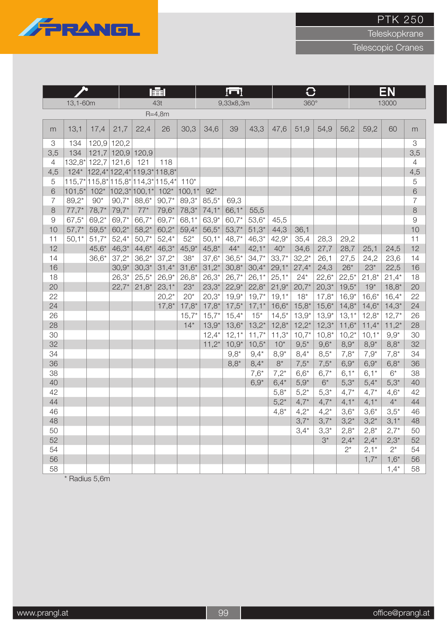

**Teleskopkrane** 

Telescopic Cranes

|                |          |         | l主l         |                                    |            | łШ       |         |           | $\bf C$ |         |             |         | EN        |         |         |                |
|----------------|----------|---------|-------------|------------------------------------|------------|----------|---------|-----------|---------|---------|-------------|---------|-----------|---------|---------|----------------|
|                | 13,1-60m |         |             |                                    | 43t        |          |         | 9,33x8,3m |         |         | $360^\circ$ |         |           |         | 13000   |                |
|                |          |         |             |                                    | $R = 4,8m$ |          |         |           |         |         |             |         |           |         |         |                |
| m              | 13,1     | 17,4    | 21,7        | 22,4                               | 26         | 30,3     | 34,6    | 39        | 43,3    | 47,6    | 51,9        | 54,9    | 56,2      | 59,2    | 60      | m              |
| 3              | 134      | 120,9   | 120,2       |                                    |            |          |         |           |         |         |             |         |           |         |         | 3              |
| 3,5            | 134      | 121,7   | 120,9 120,9 |                                    |            |          |         |           |         |         |             |         |           |         |         | 3,5            |
| $\overline{4}$ | 132,8*   | 122,7   | 121,6       | 121                                | 118        |          |         |           |         |         |             |         |           |         |         | $\overline{4}$ |
| 4,5            | $124*$   |         |             | $ 122,4^* 122,4^* 119,3^* 118,8^*$ |            |          |         |           |         |         |             |         |           |         |         | 4,5            |
| 5              |          |         |             | 115,7* 115,8* 115,8* 114,3* 115,4* |            | $110*$   |         |           |         |         |             |         |           |         |         | 5              |
| 6              | $101,5*$ | $102*$  |             | $102,3^*$ 100,1*                   | $102*$     | $100,1*$ | $92*$   |           |         |         |             |         |           |         |         | $\,$ 6 $\,$    |
| $\overline{7}$ | $89,2*$  | $90*$   | $90,7*$     | 88,6*                              | $90,7*$    | $89,3*$  | $85,5*$ | 69,3      |         |         |             |         |           |         |         | $\overline{7}$ |
| $\,8\,$        | $77,7*$  | $78,7*$ | $79,7*$     | $77*$                              | $79,6*$    | 78,3*    | $74,1*$ | 66,1*     | 55,5    |         |             |         |           |         |         | 8              |
| $\Theta$       | $67,5*$  | $69,2*$ | 69,7*       | 66,7*                              | $69,7*$    | $68,1*$  | 63,9*   | 60,7*     | $53,6*$ | 45,5    |             |         |           |         |         | $\overline{9}$ |
| 10             | $57,7*$  | $59,5*$ | $60,2*$     | $58,2*$                            | $60,2*$    | $59,4*$  | $56,5*$ | $53,7*$   | $51,3*$ | 44,3    | 36,1        |         |           |         |         | 10             |
| 11             | $50,1*$  | $51,7*$ | $52,4*$     | $50,7*$                            | $52,4*$    | $52*$    | $50,1*$ | $48,7*$   | $46,3*$ | $42,9*$ | 35,4        | 28,3    | 29,2      |         |         | 11             |
| 12             |          | $45,6*$ | $46,3*$     | $44,6*$                            | $46,3*$    | $45,9*$  | $45,8*$ | $44*$     | $42,1*$ | $40*$   | 34,6        | 27,7    | 28,7      | 25,1    | 24,5    | 12             |
| 14             |          | $36,6*$ | $37,2*$     | $36,2*$                            | $37,2*$    | $38*$    | $37,6*$ | $36,5*$   | $34,7*$ | $33,7*$ | $32,2*$     | 26,1    | 27,5      | 24,2    | 23,6    | 14             |
| 16             |          |         | $30,9*$     | $30,3*$                            | $31,4*$    | $31,6*$  | $31,2*$ | $30,8*$   | $30,4*$ | $29,1*$ | $27,4*$     | 24,3    | $26*$     | $23*$   | 22,5    | 16             |
| 18             |          |         | $26,3*$     | $25,5*$                            | $26,9*$    | $26,8*$  | $26,3*$ | $26,7*$   | $26,1*$ | $25,1*$ | $24*$       | $22,6*$ | $22,5*$   | $21,8*$ | $21,4*$ | 18             |
| 20             |          |         | $22,7*$     | $21,8*$                            | $23,1*$    | $23*$    | $23,3*$ | $22,9*$   | $22,8*$ | $21,9*$ | $20,7*$     | $20,3*$ | $19,5*$   | $19*$   | $18,8*$ | 20             |
| 22             |          |         |             |                                    | $20,2*$    | $20*$    | $20,3*$ | $19,9*$   | $19,7*$ | $19,1*$ | $18*$       | $17,8*$ | $16,9*$   | $16,6*$ | $16,4*$ | 22             |
| 24             |          |         |             |                                    | $17,8*$    | $17,8*$  | $17,8*$ | $17,5*$   | $17,1*$ | $16,6*$ | $15,8*$     | $15,6*$ | $14,8*$   | $14,6*$ | $14,3*$ | 24             |
| 26             |          |         |             |                                    |            | $15,7*$  | $15,7*$ | $15,4*$   | $15*$   | $14,5*$ | $13,9*$     | $13,9*$ | $13,1*$   | $12,8*$ | $12,7*$ | 26             |
| 28             |          |         |             |                                    |            | $14*$    | $13,9*$ | $13,6*$   | $13,2*$ | $12,8*$ | $12,2^*$    | $12,3*$ | $11,6*$   | $11,4*$ | $11,2*$ | 28             |
| 30             |          |         |             |                                    |            |          | $12,4*$ | $12,1*$   | $11,7*$ | $11,3*$ | $10,7*$     | $10,8*$ | $10,2*$   | $10,1*$ | $9,9*$  | 30             |
| 32             |          |         |             |                                    |            |          | $11,2*$ | $10,9*$   | $10,5*$ | $10*$   | $9,5*$      | $9,6*$  | $8,9*$    | $8,9*$  | $8,8^*$ | 32             |
| 34             |          |         |             |                                    |            |          |         | $9.8*$    | $9.4*$  | $8,9*$  | $8,4*$      | $8,5*$  | $7,8*$    | $7.9*$  | $7,8*$  | 34             |
| 36             |          |         |             |                                    |            |          |         | $8,8*$    | $8,4*$  | $8*$    | $7,5*$      | $7,5*$  | $6,9*$    | $6,9*$  | $6,8*$  | 36             |
| 38             |          |         |             |                                    |            |          |         |           | $7,6*$  | $7,2*$  | $6,6*$      | $6,7*$  | $6,1*$    | $6,1*$  | $6*$    | 38             |
| 40             |          |         |             |                                    |            |          |         |           | $6,9*$  | $6,4*$  | $5,9*$      | $6^*$   | $5,3*$    | $5,4*$  | $5,3*$  | 40             |
| 42             |          |         |             |                                    |            |          |         |           |         | $5,8*$  | $5,2*$      | $5,3*$  | $4,7*$    | $4,7*$  | $4,6*$  | 42             |
| 44             |          |         |             |                                    |            |          |         |           |         | $5,2^*$ | $4,7*$      | $4,7*$  | $4,1*$    | $4,1*$  | $4^*$   | 44             |
| 46             |          |         |             |                                    |            |          |         |           |         | $4,8*$  | $4,2*$      | $4,2*$  | $3,6*$    | $3,6*$  | $3,5*$  | 46             |
| 48             |          |         |             |                                    |            |          |         |           |         |         | $3,7*$      | $3,7*$  | $3,2^{*}$ | $3,2^*$ | $3,1*$  | 48             |
| 50             |          |         |             |                                    |            |          |         |           |         |         | $3,4*$      | $3,3*$  | $2,8*$    | $2,8*$  | $2,7*$  | 50             |
| 52             |          |         |             |                                    |            |          |         |           |         |         |             | $3^*$   | $2,4*$    | $2,4*$  | $2,3*$  | 52             |
| 54             |          |         |             |                                    |            |          |         |           |         |         |             |         | $2^*$     | $2,1*$  | $2^*$   | 54             |
| 56             |          |         |             |                                    |            |          |         |           |         |         |             |         |           | $1,7*$  | $1,6*$  | 56             |
| 58             |          |         |             |                                    |            |          |         |           |         |         |             |         |           |         | $1,4*$  | 58             |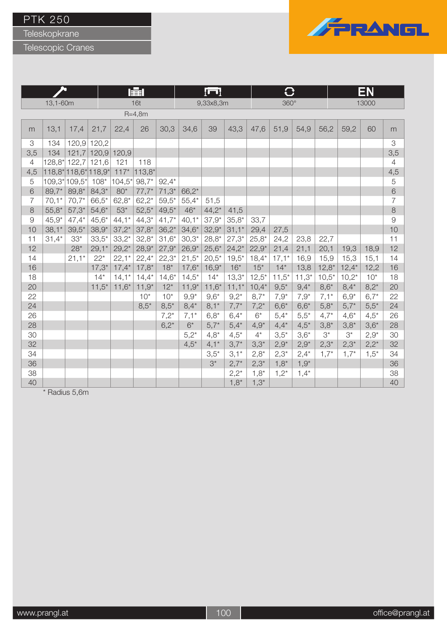Teleskopkrane

Telescopic Cranes



|                |          |                      |             |               | 屋        |         |         | lul       |         |          | O           |         |         |         | EN        |                |
|----------------|----------|----------------------|-------------|---------------|----------|---------|---------|-----------|---------|----------|-------------|---------|---------|---------|-----------|----------------|
|                | 13,1-60m |                      |             |               | 16t      |         |         | 9,33x8,3m |         |          | $360^\circ$ |         |         |         | 13000     |                |
|                |          |                      |             |               | $R=4,8m$ |         |         |           |         |          |             |         |         |         |           |                |
| m              | 13,1     | 17,4                 | 21,7        | 22,4          | 26       | 30,3    | 34,6    | 39        | 43,3    | 47,6     | 51,9        | 54,9    | 56,2    | 59,2    | 60        | m              |
| 3              | 134      |                      | 120,9 120,2 |               |          |         |         |           |         |          |             |         |         |         |           | 3              |
| 3,5            | 134      | 121,7                |             | $120,9$ 120,9 |          |         |         |           |         |          |             |         |         |         |           | 3,5            |
| $\overline{4}$ |          | 128,8* 122,7 121,6   |             | 121           | 118      |         |         |           |         |          |             |         |         |         |           | $\overline{4}$ |
| 4,5            |          | 118,8* 118,6* 118,9* |             | $117*$        | $113,8*$ |         |         |           |         |          |             |         |         |         |           | 4,5            |
| $\sqrt{5}$     |          | 109,3* 109,5*        | $108*$      | $104,5*$      | $98,7*$  | $92,4*$ |         |           |         |          |             |         |         |         |           | $\mathbf 5$    |
| 6              | 89,7*    | 89,8*                | $84,3*$     | $80*$         | $77,7*$  | $71,3*$ | $66,2*$ |           |         |          |             |         |         |         |           | 6              |
| $\overline{7}$ | $70,1*$  | $70,7*$              | 66,5*       | $62,8*$       | $62,2*$  | $59,5*$ | $55,4*$ | 51,5      |         |          |             |         |         |         |           | $\overline{7}$ |
| $\,8\,$        | $55,8*$  | $57,3*$              | $54,6*$     | $53*$         | $52,5*$  | $49,5*$ | $46*$   | $44,2*$   | 41,5    |          |             |         |         |         |           | $\,8\,$        |
| $\mathcal{G}$  | $45,9*$  | $47,4*$              | $45,6*$     | $44,1*$       | $44,3*$  | $41,7*$ | $40,1*$ | $37,9*$   | $35,8*$ | 33,7     |             |         |         |         |           | $\mathcal{G}$  |
| 10             | $38,1*$  | $39,5*$              | $38,9*$     | $37,2*$       | $37,8*$  | $36,2*$ | $34,6*$ | $32,9*$   | $31,1*$ | 29,4     | 27,5        |         |         |         |           | 10             |
| 11             | $31,4*$  | $33*$                | $33,5*$     | $33,2*$       | $32,8*$  | $31,6*$ | $30,3*$ | $28,8*$   | $27,3*$ | $25,8*$  | 24,2        | 23,8    | 22,7    |         |           | 11             |
| 12             |          | $28*$                | $29,1*$     | $29,2*$       | $28,9*$  | $27,9*$ | $26,9*$ | $25,6*$   | $24,2*$ | $22,9*$  | 21,4        | 21,1    | 20,1    | 19,3    | 18,9      | 12             |
| 14             |          | $21,1*$              | $22*$       | $22,1*$       | $22,4*$  | $22,3*$ | $21,5*$ | $20,5*$   | $19,5*$ | $18,4*$  | $17,1*$     | 16,9    | 15,9    | 15,3    | 15,1      | 14             |
| 16             |          |                      | $17,3*$     | $17,4*$       | $17,8*$  | $18*$   | $17,6*$ | $16,9*$   | $16*$   | $15*$    | $14*$       | 13,8    | $12,8*$ | $12,4*$ | 12,2      | 16             |
| 18             |          |                      | $14*$       | $14,1*$       | $14,4^*$ | $14,6*$ | $14,5*$ | $14*$     | $13,3*$ | $12,5^*$ | $11,5^*$    | $11,3*$ | $10,5*$ | $10,2*$ | $10*$     | 18             |
| 20             |          |                      | $11,5*$     | $11,6*$       | $11,9*$  | $12*$   | $11,9*$ | $11,6*$   | $11,1*$ | $10,4*$  | $9,5*$      | $9,4*$  | $8,6*$  | $8,4*$  | $8,2^*$   | 20             |
| 22             |          |                      |             |               | $10*$    | $10*$   | $9,9*$  | $9,6*$    | $9,2^*$ | $8,7*$   | $7,9*$      | $7,9*$  | $7,1*$  | $6,9*$  | $6,7*$    | 22             |
| 24             |          |                      |             |               | $8,5*$   | $8,5*$  | $8,4*$  | $8,1*$    | $7,7*$  | $7,2*$   | $6,6*$      | $6,6*$  | $5,8*$  | $5,7*$  | $5,5*$    | 24             |
| 26             |          |                      |             |               |          | $7,2*$  | $7,1*$  | $6,8*$    | $6,4*$  | $6*$     | $5,4*$      | $5,5*$  | $4,7*$  | $4,6*$  | $4,5*$    | 26             |
| 28             |          |                      |             |               |          | $6,2*$  | $6*$    | $5,7*$    | $5,4*$  | $4,9*$   | $4,4*$      | $4,5*$  | $3,8*$  | $3,8*$  | $3,6*$    | 28             |
| 30             |          |                      |             |               |          |         | $5,2^*$ | $4,8*$    | $4,5*$  | $4^*$    | $3,5*$      | $3,6*$  | $3^*$   | $3^*$   | $2,9*$    | 30             |
| 32             |          |                      |             |               |          |         | $4,5*$  | $4,1*$    | $3,7*$  | $3,3*$   | $2,9*$      | $2,9*$  | $2,3*$  | $2,3*$  | $2,2^*$   | 32             |
| 34             |          |                      |             |               |          |         |         | $3,5*$    | $3,1*$  | $2,8*$   | $2,3*$      | $2,4*$  | $1,7^*$ | $1,7^*$ | $1,5^{*}$ | 34             |
| 36             |          |                      |             |               |          |         |         | $3^*$     | $2,7*$  | $2,3*$   | $1,8^*$     | $1,9*$  |         |         |           | 36             |
| 38             |          |                      |             |               |          |         |         |           | $2,2^*$ | $1,8^*$  | $1,2^*$     | $1,4*$  |         |         |           | 38             |
| 40             |          |                      |             |               |          |         |         |           | $1,8^*$ | $1,3^*$  |             |         |         |         |           | 40             |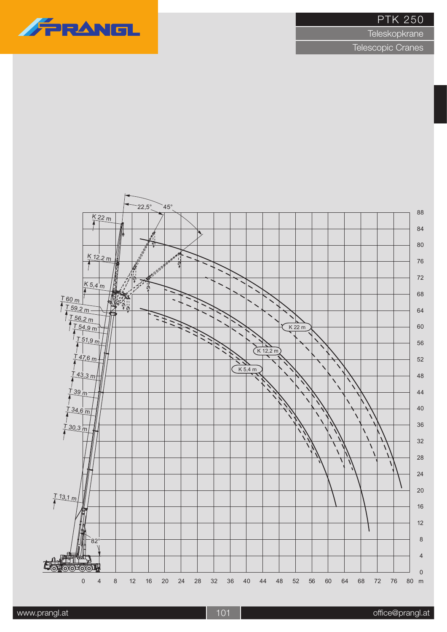**Teleskopkrane** 



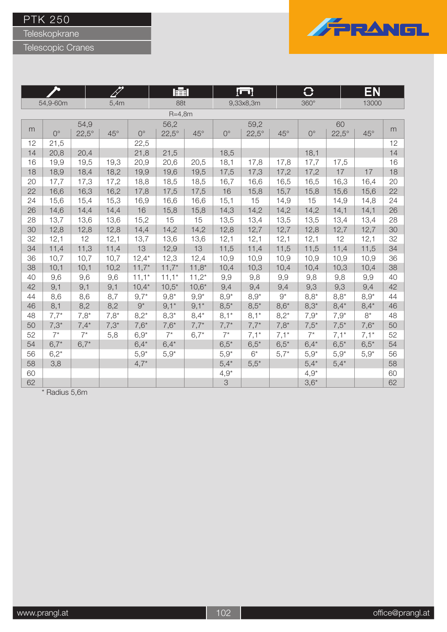Teleskopkrane

Telescopic Cranes



|    |             |              |            |             | 賱            |              |             | ſП           |              | O           |              | EN         |    |
|----|-------------|--------------|------------|-------------|--------------|--------------|-------------|--------------|--------------|-------------|--------------|------------|----|
|    | 54,9-60m    |              | 5,4m       |             | 88t          |              |             | 9,33x8,3m    |              | $360^\circ$ |              | 13000      |    |
|    |             |              |            |             | $R = 4,8m$   |              |             |              |              |             |              |            |    |
|    |             | 54,9         |            |             | 56,2         |              |             | 59,2         |              |             | 60           |            |    |
| m  | $0^{\circ}$ | $22,5^\circ$ | $45^\circ$ | $0^{\circ}$ | $22,5^\circ$ | $45^{\circ}$ | $0^{\circ}$ | $22,5^\circ$ | $45^{\circ}$ | $0^{\circ}$ | $22,5^\circ$ | $45^\circ$ | m  |
| 12 | 21,5        |              |            | 22,5        |              |              |             |              |              |             |              |            | 12 |
| 14 | 20,8        | 20,4         |            | 21,8        | 21,5         |              | 18,5        |              |              | 18,1        |              |            | 14 |
| 16 | 19,9        | 19,5         | 19,3       | 20,9        | 20,6         | 20,5         | 18,1        | 17,8         | 17,8         | 17,7        | 17,5         |            | 16 |
| 18 | 18,9        | 18,4         | 18,2       | 19,9        | 19,6         | 19,5         | 17,5        | 17,3         | 17,2         | 17,2        | 17           | 17         | 18 |
| 20 | 17,7        | 17,3         | 17,2       | 18,8        | 18,5         | 18,5         | 16,7        | 16,6         | 16,5         | 16,5        | 16,3         | 16,4       | 20 |
| 22 | 16,6        | 16,3         | 16,2       | 17,8        | 17,5         | 17,5         | 16          | 15,8         | 15,7         | 15,8        | 15,6         | 15,6       | 22 |
| 24 | 15,6        | 15,4         | 15,3       | 16,9        | 16,6         | 16,6         | 15,1        | 15           | 14,9         | 15          | 14,9         | 14,8       | 24 |
| 26 | 14,6        | 14,4         | 14,4       | 16          | 15,8         | 15,8         | 14,3        | 14,2         | 14,2         | 14,2        | 14,1         | 14,1       | 26 |
| 28 | 13,7        | 13,6         | 13,6       | 15,2        | 15           | 15           | 13,5        | 13,4         | 13,5         | 13,5        | 13,4         | 13,4       | 28 |
| 30 | 12,8        | 12,8         | 12,8       | 14,4        | 14,2         | 14,2         | 12,8        | 12,7         | 12,7         | 12,8        | 12,7         | 12,7       | 30 |
| 32 | 12,1        | 12           | 12,1       | 13,7        | 13,6         | 13,6         | 12,1        | 12,1         | 12,1         | 12,1        | 12           | 12,1       | 32 |
| 34 | 11,4        | 11,3         | 11,4       | 13          | 12,9         | 13           | 11,5        | 11,4         | 11,5         | 11,5        | 11,4         | 11,5       | 34 |
| 36 | 10,7        | 10,7         | 10,7       | $12,4*$     | 12,3         | 12,4         | 10,9        | 10,9         | 10,9         | 10,9        | 10,9         | 10,9       | 36 |
| 38 | 10,1        | 10,1         | 10,2       | $11,7*$     | $11,7*$      | $11,8*$      | 10,4        | 10,3         | 10,4         | 10,4        | 10,3         | 10,4       | 38 |
| 40 | 9,6         | 9,6          | 9,6        | $11,1*$     | $11,1*$      | $11,2*$      | 9,9         | 9,8          | 9,9          | 9,8         | 9,8          | 9,9        | 40 |
| 42 | 9,1         | 9,1          | 9,1        | $10,4*$     | $10,5*$      | $10,6*$      | 9,4         | 9,4          | 9,4          | 9,3         | 9,3          | 9,4        | 42 |
| 44 | 8,6         | 8,6          | 8,7        | $9,7*$      | $9,8*$       | $9,9*$       | $8,9*$      | $8,9*$       | $9^{\star}$  | $8,8*$      | $8,8*$       | $8,9*$     | 44 |
| 46 | 8,1         | 8,2          | 8,2        | $9^*$       | $9,1*$       | $9,1*$       | $8,5*$      | $8,5*$       | $8,6*$       | $8,3*$      | $8,4*$       | $8,4*$     | 46 |
| 48 | $7,7*$      | $7,8*$       | $7,8*$     | $8,2*$      | $8,3*$       | $8,4*$       | $8,1*$      | $8,1*$       | $8,2*$       | $7,9^*$     | $7,9*$       | $8*$       | 48 |
| 50 | $7,3*$      | $7,4*$       | $7,3*$     | $7,6*$      | $7,6*$       | $7,7*$       | $7,7*$      | $7,7*$       | $7,8*$       | $7,5*$      | $7,5*$       | $7,6*$     | 50 |
| 52 | $7^*$       | $7^*$        | 5,8        | $6,9*$      | $7^*$        | $6,7*$       | $7^*$       | $7,1*$       | $7,1*$       | $7^*$       | $7,1*$       | $7,1*$     | 52 |
| 54 | $6,7*$      | $6,7*$       |            | $6,4*$      | $6,4*$       |              | $6,5*$      | $6,5*$       | $6,5*$       | $6,4*$      | $6,5*$       | $6,5*$     | 54 |
| 56 | $6,2*$      |              |            | $5,9^*$     | $5,9*$       |              | $5,9*$      | $6*$         | $5,7*$       | $5,9*$      | $5,9*$       | $5,9*$     | 56 |
| 58 | 3,8         |              |            | $4,7*$      |              |              | $5,4*$      | $5,5*$       |              | $5,4*$      | $5,4*$       |            | 58 |
| 60 |             |              |            |             |              |              | $4,9^*$     |              |              | $4,9*$      |              |            | 60 |
| 62 |             |              |            |             |              |              | 3           |              |              | $3,6*$      |              |            | 62 |

 $\overline{\phantom{a}^{\ast}$  Radius 5,6m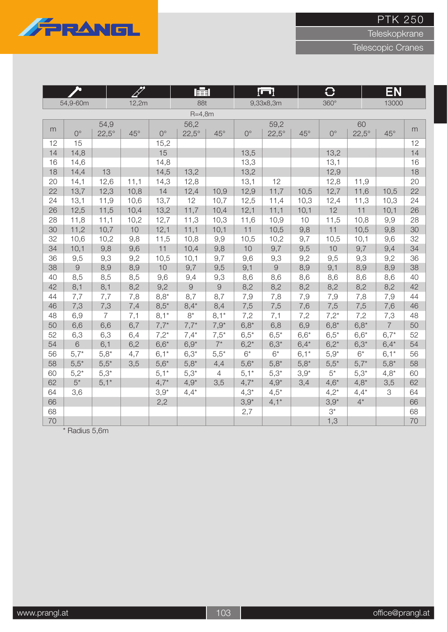

**Teleskopkrane** 

Telescopic Cranes

|          | ௯              |                | 17           |              | 量              |                |             | łП           |            | $\bf C$     |              | EN             |          |
|----------|----------------|----------------|--------------|--------------|----------------|----------------|-------------|--------------|------------|-------------|--------------|----------------|----------|
|          | 54,9-60m       |                | 12,2m        |              | 88t            |                |             | 9,33x8,3m    |            | $360^\circ$ |              | 13000          |          |
|          |                |                |              |              | $R=4,8m$       |                |             |              |            |             |              |                |          |
| m        |                | 54,9           |              |              | 56,2           |                |             | 59,2         |            |             | 60           |                | m        |
|          | $0^{\circ}$    | $22,5^\circ$   | $45^{\circ}$ | $0^{\circ}$  | $22,5^\circ$   | $45^\circ$     | $0^{\circ}$ | $22,5^\circ$ | $45^\circ$ | $0^{\circ}$ | $22,5^\circ$ | $45^{\circ}$   |          |
| 12       | 15             |                |              | 15,2         |                |                |             |              |            |             |              |                | 12       |
| 14       | 14,8           |                |              | 15           |                |                | 13,5        |              |            | 13,2        |              |                | 14       |
| 16       | 14,6           |                |              | 14,8         |                |                | 13,3        |              |            | 13,1        |              |                | 16       |
| 18       | 14,4           | 13             |              | 14,5         | 13,2           |                | 13,2        |              |            | 12,9        |              |                | 18       |
| 20       | 14,1           | 12,6           | 11,1         | 14,3         | 12,8           |                | 13,1        | 12           |            | 12,8        | 11,9         |                | 20       |
| 22       | 13,7           | 12,3           | 10,8         | 14           | 12,4           | 10,9           | 12,9        | 11,7         | 10,5       | 12,7        | 11,6         | 10,5           | 22       |
| 24       | 13,1           | 11,9           | 10,6         | 13,7         | 12             | 10,7           | 12,5        | 11,4         | 10,3       | 12,4        | 11,3         | 10,3           | 24       |
| 26       | 12,5           | 11,5           | 10,4         | 13,2         | 11,7           | 10,4           | 12,1        | 11,1         | 10,1       | 12          | 11           | 10,1           | 26       |
| 28<br>30 | 11,8<br>11,2   | 11,1           | 10,2<br>10   | 12,7         | 11,3           | 10,3           | 11,6<br>11  | 10,9         | 10         | 11,5<br>11  | 10,8         | 9,9            | 28       |
| 32       | 10,6           | 10,7           | 9,8          | 12,1<br>11,5 | 11,1<br>10,8   | 10,1           |             | 10,5<br>10,2 | 9,8<br>9,7 | 10,5        | 10,5         | 9,8<br>9,6     | 30<br>32 |
| 34       | 10,1           | 10,2<br>9,8    | 9,6          | 11           | 10,4           | 9,9<br>9,8     | 10,5<br>10  | 9,7          | 9,5        | 10          | 10,1<br>9,7  | 9,4            | 34       |
| 36       | 9,5            | 9,3            | 9,2          | 10,5         | 10,1           | 9,7            | 9,6         | 9,3          | 9,2        | 9,5         | 9,3          | 9,2            | 36       |
| 38       | $\overline{9}$ | 8,9            | 8,9          | 10           | 9,7            | 9,5            | 9,1         | $\hbox{9}$   | 8,9        | 9,1         | 8,9          | 8,9            | 38       |
| 40       | 8,5            | 8,5            | 8,5          | 9,6          | 9,4            | 9,3            | 8,6         | 8,6          | 8,6        | 8,6         | 8,6          | 8,6            | 40       |
| 42       | 8,1            | 8,1            | 8,2          | 9,2          | $\overline{9}$ | $\hbox{9}$     | 8,2         | 8,2          | 8,2        | 8,2         | 8,2          | 8,2            | 42       |
| 44       | 7,7            | 7,7            | 7,8          | $8,8*$       | 8,7            | 8,7            | 7,9         | 7,8          | 7,9        | 7,9         | 7,8          | 7,9            | 44       |
| 46       | 7,3            | 7,3            | 7,4          | $8,5*$       | $8,4*$         | 8,4            | 7,5         | 7,5          | 7,6        | 7,5         | 7,5          | 7,6            | 46       |
| 48       | 6,9            | $\overline{7}$ | 7,1          | $8,1*$       | $8*$           | $8,1*$         | 7,2         | 7,1          | 7,2        | $7,2*$      | 7,2          | 7,3            | 48       |
| 50       | 6,6            | 6,6            | 6,7          | $7,7*$       | $7,7*$         | $7,9*$         | $6,8*$      | 6,8          | 6,9        | $6,8*$      | $6,8*$       | $\overline{7}$ | 50       |
| 52       | 6,3            | 6,3            | 6,4          | $7,2^*$      | $7,4*$         | $7,5*$         | $6,5*$      | $6,5*$       | $6,6*$     | $6,5*$      | $6,6*$       | $6,7*$         | 52       |
| 54       | 6              | 6,1            | 6,2          | $6,6*$       | $6,9*$         | $7^*$          | $6,2^*$     | $6,3*$       | $6,4*$     | $6,2^*$     | $6,3*$       | $6,4*$         | 54       |
| 56       | $5,7*$         | $5,8*$         | 4,7          | $6,1*$       | $6,3*$         | $5,5*$         | $6*$        | $6*$         | $6,1*$     | $5,9*$      | $6*$         | $6,1*$         | 56       |
| 58       | $5,5*$         | $5,5*$         | 3,5          | $5,6*$       | $5,8^*$        | 4,4            | $5,6*$      | $5,8*$       | $5,8^*$    | $5,5*$      | $5,7*$       | $5,8*$         | 58       |
| 60       | $5,2*$         | $5,3*$         |              | $5,1*$       | $5,3*$         | $\overline{4}$ | $5,1*$      | $5,3*$       | $3,9*$     | $5^*$       | $5,3*$       | $4,8*$         | 60       |
| 62       | $5^*$          | $5,1*$         |              | $4,7*$       | $4,9*$         | 3,5            | $4,7*$      | $4,9*$       | 3,4        | $4,6*$      | $4,8*$       | 3,5            | 62       |
| 64       | 3,6            |                |              | $3,9*$       | $4,4*$         |                | $4,3*$      | $4,5*$       |            | $4,2*$      | $4,4*$       | 3              | 64       |
| 66       |                |                |              | 2,2          |                |                | $3,9*$      | $4,1*$       |            | $3,9*$      | $4^*$        |                | 66       |
| 68       |                |                |              |              |                |                | 2,7         |              |            | $3^{\star}$ |              |                | 68       |
| 70       |                |                |              |              |                |                |             |              |            | 1,3         |              |                | 70       |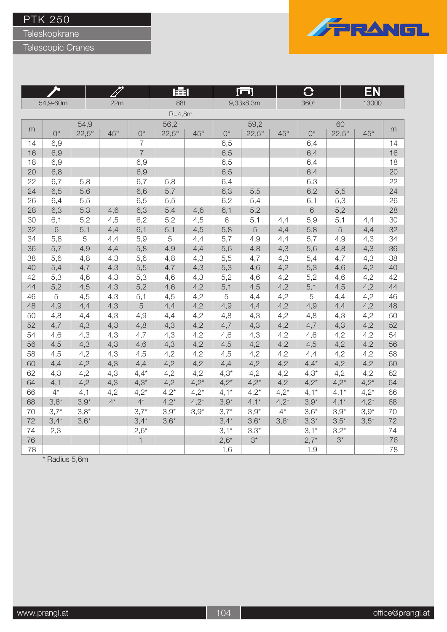Teleskopkrane

Telescopic Cranes

 $\overline{1}$ 



<u>in the Sta</u>

ш

|    |             |              |              |                | 医目           |            |             | <u>  Ul</u>  |            | IJ          |              | EN           |    |
|----|-------------|--------------|--------------|----------------|--------------|------------|-------------|--------------|------------|-------------|--------------|--------------|----|
|    | 54,9-60m    |              | 22m          |                | 88t          |            |             | 9,33x8,3m    |            | 360°        |              | 13000        |    |
|    |             |              |              |                | $R=4,8m$     |            |             |              |            |             |              |              |    |
|    |             | 54,9         |              |                | 56,2         |            |             | 59,2         |            |             | 60           |              |    |
| m  | $0^{\circ}$ | $22,5^\circ$ | $45^{\circ}$ | $0^{\circ}$    | $22,5^\circ$ | $45^\circ$ | $0^{\circ}$ | $22,5^\circ$ | $45^\circ$ | $0^{\circ}$ | $22,5^\circ$ | $45^{\circ}$ | m  |
| 14 | 6,9         |              |              | $\overline{7}$ |              |            | 6,5         |              |            | 6,4         |              |              | 14 |
| 16 | 6,9         |              |              | $\overline{7}$ |              |            | 6,5         |              |            | 6,4         |              |              | 16 |
| 18 | 6,9         |              |              | 6,9            |              |            | 6,5         |              |            | 6,4         |              |              | 18 |
| 20 | 6,8         |              |              | 6,9            |              |            | 6,5         |              |            | 6,4         |              |              | 20 |
| 22 | 6,7         | 5,8          |              | 6,7            | 5,8          |            | 6,4         |              |            | 6,3         |              |              | 22 |
| 24 | 6,5         | 5,6          |              | 6,6            | 5,7          |            | 6,3         | 5,5          |            | 6,2         | 5,5          |              | 24 |
| 26 | 6,4         | 5,5          |              | 6,5            | 5,5          |            | 6,2         | 5,4          |            | 6,1         | 5,3          |              | 26 |
| 28 | 6,3         | 5,3          | 4,6          | 6,3            | 5,4          | 4,6        | 6,1         | 5,2          |            | $6\,$       | 5,2          |              | 28 |
| 30 | 6,1         | 5,2          | 4,5          | 6,2            | 5,2          | 4,5        | $\,6$       | 5,1          | 4,4        | 5,9         | 5,1          | 4,4          | 30 |
| 32 | 6           | 5,1          | 4,4          | 6,1            | 5,1          | 4,5        | 5,8         | 5            | 4,4        | 5,8         | 5            | 4,4          | 32 |
| 34 | 5,8         | 5            | 4,4          | 5,9            | 5            | 4,4        | 5,7         | 4,9          | 4,4        | 5,7         | 4,9          | 4,3          | 34 |
| 36 | 5,7         | 4,9          | 4,4          | 5,8            | 4,9          | 4,4        | 5,6         | 4,8          | 4,3        | 5,6         | 4,8          | 4,3          | 36 |
| 38 | 5,6         | 4,8          | 4,3          | 5,6            | 4,8          | 4,3        | 5,5         | 4,7          | 4,3        | 5,4         | 4,7          | 4,3          | 38 |
| 40 | 5,4         | 4,7          | 4,3          | 5,5            | 4,7          | 4,3        | 5,3         | 4,6          | 4,2        | 5,3         | 4,6          | 4,2          | 40 |
| 42 | 5,3         | 4,6          | 4,3          | 5,3            | 4,6          | 4,3        | 5,2         | 4,6          | 4,2        | 5,2         | 4,6          | 4,2          | 42 |
| 44 | 5,2         | 4,5          | 4,3          | 5,2            | 4,6          | 4,2        | 5,1         | 4,5          | 4,2        | 5,1         | 4,5          | 4,2          | 44 |
| 46 | 5           | 4,5          | 4,3          | 5,1            | 4,5          | 4,2        | $\mathbf 5$ | 4,4          | 4,2        | 5           | 4,4          | 4,2          | 46 |
| 48 | 4,9         | 4,4          | 4,3          | $\sqrt{5}$     | 4,4          | 4,2        | 4,9         | 4,4          | 4,2        | 4,9         | 4,4          | 4,2          | 48 |
| 50 | 4,8         | 4,4          | 4,3          | 4,9            | 4,4          | 4,2        | 4,8         | 4,3          | 4,2        | 4,8         | 4,3          | 4,2          | 50 |
| 52 | 4,7         | 4,3          | 4,3          | 4,8            | 4,3          | 4,2        | 4,7         | 4,3          | 4,2        | 4,7         | 4,3          | 4,2          | 52 |
| 54 | 4,6         | 4,3          | 4,3          | 4,7            | 4,3          | 4,2        | 4,6         | 4,3          | 4,2        | 4,6         | 4,2          | 4,2          | 54 |
| 56 | 4,5         | 4,3          | 4,3          | 4,6            | 4,3          | 4,2        | 4,5         | 4,2          | 4,2        | 4,5         | 4,2          | 4,2          | 56 |
| 58 | 4,5         | 4,2          | 4,3          | 4,5            | 4,2          | 4,2        | 4,5         | 4,2          | 4,2        | 4,4         | 4,2          | 4,2          | 58 |
| 60 | 4,4         | 4,2          | 4,3          | 4,4            | 4,2          | 4,2        | 4,4         | 4,2          | 4,2        | $4,4*$      | 4,2          | 4,2          | 60 |
| 62 | 4,3         | 4,2          | 4,3          | $4,4*$         | 4,2          | 4,2        | $4,3*$      | 4,2          | 4,2        | $4,3*$      | 4,2          | 4,2          | 62 |
| 64 | 4,1         | 4,2          | 4,3          | $4,3*$         | 4,2          | $4,2*$     | $4,2*$      | $4,2*$       | 4,2        | $4,2*$      | $4,2*$       | $4,2*$       | 64 |
| 66 | $4^*$       | 4,1          | 4,2          | $4,2*$         | $4,2^*$      | $4,2*$     | $4,1*$      | $4,2*$       | $4,2*$     | $4,1*$      | $4,1*$       | $4,2*$       | 66 |
| 68 | $3,8*$      | $3,9*$       | $4^*$        | $4^*$          | $4,2*$       | $4,2^*$    | $3,9*$      | $4,1*$       | $4,2*$     | $3,9*$      | $4,1*$       | $4,2*$       | 68 |
| 70 | $3,7*$      | $3,8*$       |              | $3,7*$         | $3,9*$       | $3,9*$     | $3,7*$      | $3,9*$       | $4^*$      | $3,6*$      | $3,9*$       | $3,9*$       | 70 |
| 72 | $3,4*$      | $3,6*$       |              | $3,4*$         | $3,6*$       |            | $3,4*$      | $3,6*$       | $3,6*$     | $3,3*$      | $3,5*$       | $3,5*$       | 72 |
| 74 | 2,3         |              |              | $2,6*$         |              |            | $3,1*$      | $3,3*$       |            | $3,1*$      | $3,2^{*}$    |              | 74 |
| 76 |             |              |              | $\overline{1}$ |              |            | $2,6*$      | $3^*$        |            | $2,7*$      | $3^{\star}$  |              | 76 |
| 78 |             |              |              |                |              |            | 1,6         |              |            | 1,9         |              |              | 78 |

 $\overline{\phantom{a}^*}$  Radius 5,6m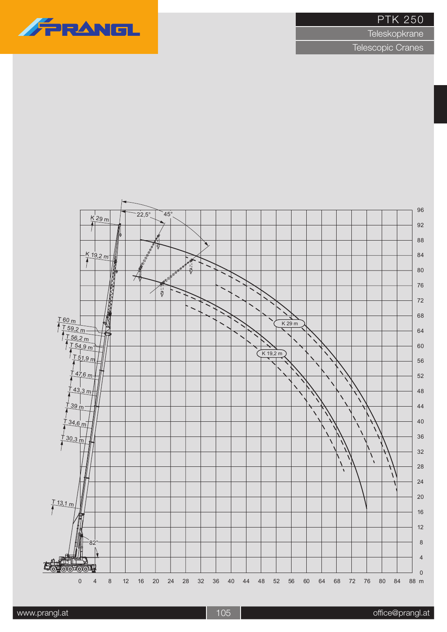# FRANGL

#### PTK 250

**Teleskopkrane** 

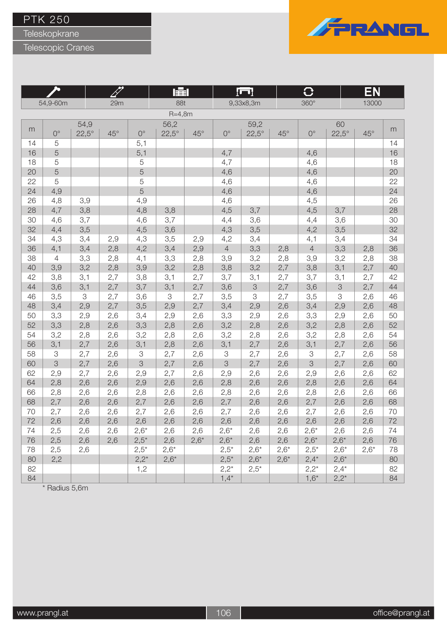Teleskopkrane

Telescopic Cranes

**Inc.** 



<u>e andre de la p</u>

|    |                |              |            |             | 賱            |              |                | <u>¦⊡¦</u>   |            | Ü              |              | ΕN           |    |
|----|----------------|--------------|------------|-------------|--------------|--------------|----------------|--------------|------------|----------------|--------------|--------------|----|
|    | 54,9-60m       |              | 29m        |             | 88t          |              |                | 9,33x8,3m    |            | $360^\circ$    |              | 13000        |    |
|    |                |              |            |             | $R = 4,8m$   |              |                |              |            |                |              |              |    |
|    |                | 54,9         |            |             | 56,2         |              |                | 59,2         |            |                | 60           |              |    |
| m  | $0^{\circ}$    | $22,5^\circ$ | $45^\circ$ | $0^{\circ}$ | $22,5^\circ$ | $45^{\circ}$ | $0^{\circ}$    | $22,5^\circ$ | $45^\circ$ | $0^{\circ}$    | $22,5^\circ$ | $45^{\circ}$ | m  |
| 14 | 5              |              |            | 5,1         |              |              |                |              |            |                |              |              | 14 |
| 16 | 5              |              |            | 5,1         |              |              | 4,7            |              |            | 4,6            |              |              | 16 |
| 18 | 5              |              |            | 5           |              |              | 4,7            |              |            | 4,6            |              |              | 18 |
| 20 | 5              |              |            | 5           |              |              | 4,6            |              |            | 4,6            |              |              | 20 |
| 22 | 5              |              |            | 5           |              |              | 4,6            |              |            | 4,6            |              |              | 22 |
| 24 | 4,9            |              |            | 5           |              |              | 4,6            |              |            | 4,6            |              |              | 24 |
| 26 | 4,8            | 3,9          |            | 4,9         |              |              | 4,6            |              |            | 4,5            |              |              | 26 |
| 28 | 4,7            | 3,8          |            | 4,8         | 3,8          |              | 4,5            | 3,7          |            | 4,5            | 3,7          |              | 28 |
| 30 | 4,6            | 3,7          |            | 4,6         | 3,7          |              | 4,4            | 3,6          |            | 4,4            | 3,6          |              | 30 |
| 32 | 4,4            | 3,5          |            | 4,5         | 3,6          |              | 4,3            | 3,5          |            | 4,2            | 3,5          |              | 32 |
| 34 | 4,3            | 3,4          | 2,9        | 4,3         | 3,5          | 2,9          | 4,2            | 3,4          |            | 4,1            | 3,4          |              | 34 |
| 36 | 4,1            | 3,4          | 2,8        | 4,2         | 3,4          | 2,9          | $\overline{4}$ | 3,3          | 2,8        | $\overline{4}$ | 3,3          | 2,8          | 36 |
| 38 | $\overline{4}$ | 3,3          | 2,8        | 4,1         | 3,3          | 2,8          | 3,9            | 3,2          | 2,8        | 3,9            | 3,2          | 2,8          | 38 |
| 40 | 3,9            | 3,2          | 2,8        | 3,9         | 3,2          | 2,8          | 3,8            | 3,2          | 2,7        | 3,8            | 3,1          | 2,7          | 40 |
| 42 | 3,8            | 3,1          | 2,7        | 3,8         | 3,1          | 2,7          | 3,7            | 3,1          | 2,7        | 3,7            | 3,1          | 2,7          | 42 |
| 44 | 3,6            | 3,1          | 2,7        | 3,7         | 3,1          | 2,7          | 3,6            | $\mathcal S$ | 2,7        | 3,6            | $\mbox{3}$   | 2,7          | 44 |
| 46 | 3,5            | 3            | 2,7        | 3,6         | $\mbox{3}$   | 2,7          | 3,5            | 3            | 2,7        | 3,5            | 3            | 2,6          | 46 |
| 48 | 3,4            | 2,9          | 2,7        | 3,5         | 2,9          | 2,7          | 3,4            | 2,9          | 2,6        | 3,4            | 2,9          | 2,6          | 48 |
| 50 | 3,3            | 2,9          | 2,6        | 3,4         | 2,9          | 2,6          | 3,3            | 2,9          | 2,6        | 3,3            | 2,9          | 2,6          | 50 |
| 52 | 3,3            | 2,8          | 2,6        | 3,3         | 2,8          | 2,6          | 3,2            | 2,8          | 2,6        | 3,2            | 2,8          | 2,6          | 52 |
| 54 | 3,2            | 2,8          | 2,6        | 3,2         | 2,8          | 2,6          | 3,2            | 2,8          | 2,6        | 3,2            | 2,8          | 2,6          | 54 |
| 56 | 3,1            | 2,7          | 2,6        | 3,1         | 2,8          | 2,6          | 3,1            | 2,7          | 2,6        | 3,1            | 2,7          | 2,6          | 56 |
| 58 | $\mathfrak 3$  | 2,7          | 2,6        | 3           | 2,7          | 2,6          | $\mbox{3}$     | 2,7          | 2,6        | 3              | 2,7          | 2,6          | 58 |
| 60 | 3              | 2,7          | 2,6        | 3           | 2,7          | 2,6          | 3              | 2,7          | 2,6        | 3              | 2,7          | 2,6          | 60 |
| 62 | 2,9            | 2,7          | 2,6        | 2,9         | 2,7          | 2,6          | 2,9            | 2,6          | 2,6        | 2,9            | 2,6          | 2,6          | 62 |
| 64 | 2,8            | 2,6          | 2,6        | 2,9         | 2,6          | 2,6          | 2,8            | 2,6          | 2,6        | 2,8            | 2,6          | 2,6          | 64 |
| 66 | 2,8            | 2,6          | 2,6        | 2,8         | 2,6          | 2,6          | 2,8            | 2,6          | 2,6        | 2,8            | 2,6          | 2,6          | 66 |
| 68 | 2,7            | 2,6          | 2,6        | 2,7         | 2,6          | 2,6          | 2,7            | 2,6          | 2,6        | 2,7            | 2,6          | 2,6          | 68 |
| 70 | 2,7            | 2,6          | 2,6        | 2,7         | 2,6          | 2,6          | 2,7            | 2,6          | 2,6        | 2,7            | 2,6          | 2,6          | 70 |
| 72 | 2,6            | 2,6          | 2,6        | 2,6         | 2,6          | 2,6          | 2,6            | 2,6          | 2,6        | 2,6            | 2,6          | 2,6          | 72 |
| 74 | 2,5            | 2,6          | 2,6        | $2,6*$      | 2,6          | 2,6          | $2,6*$         | 2,6          | 2,6        | $2,6*$         | 2,6          | 2,6          | 74 |
| 76 | 2,5            | 2,6          | 2,6        | $2,5*$      | 2,6          | $2,6*$       | $2,6*$         | 2,6          | 2,6        | $2,6*$         | $2,6*$       | 2,6          | 76 |
| 78 | 2,5            | 2,6          |            | $2,5*$      | $2,6*$       |              | $2,5*$         | $2,6*$       | $2,6*$     | $2,5*$         | $2,6*$       | $2,6*$       | 78 |
| 80 | 2,2            |              |            | $2,2^*$     | $2,6*$       |              | $2,5*$         | $2,6*$       | $2,6*$     | $2,4*$         | $2,6*$       |              | 80 |
| 82 |                |              |            | 1,2         |              |              | $2,2^*$        | $2,5*$       |            | $2,2^{*}$      | $2,4*$       |              | 82 |
| 84 |                |              |            |             |              |              | $1,4*$         |              |            | $1,6*$         | $2,2^*$      |              | 84 |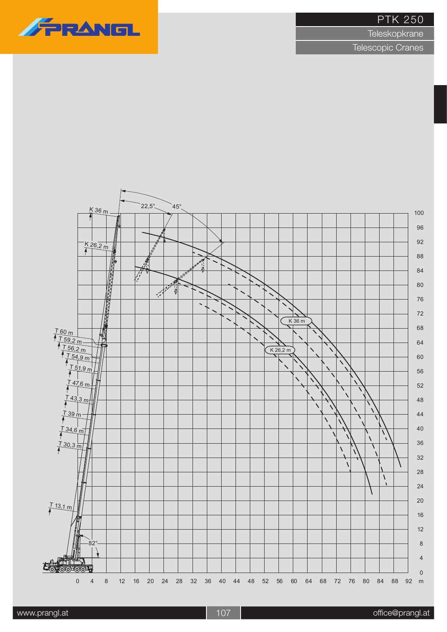**Teleskopkrane**